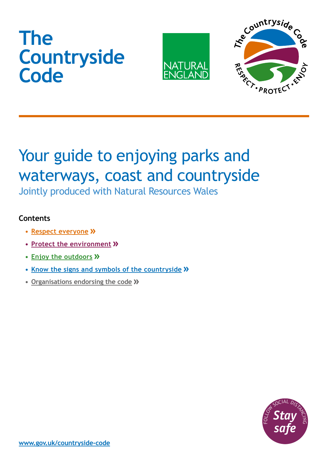# **The Countryside Code**





# Your guide to enjoying parks and waterways, coast and countryside

Jointly produced with Natural Resources Wales

#### <span id="page-0-0"></span>**Contents**

- **• [Respect everyone](#page-1-0)**
- **• [Protect the environment](#page-2-0)**
- **• Enjoy the outdoors**
- **• [Know the signs and symbols of the countryside](#page-4-0)**
- **• [Organisations endorsing the code](#page-5-0)**

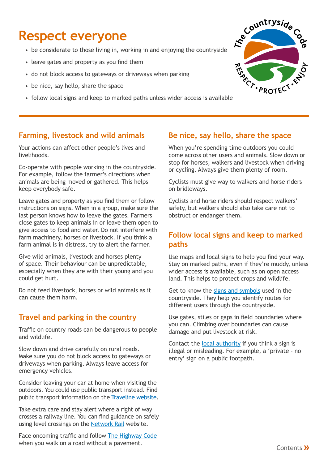### <span id="page-1-0"></span>**Respect everyone**

- be considerate to those living in, working in and enjoying the countryside
- leave gates and property as you find them
- do not block access to gateways or driveways when parking
- be nice, say hello, share the space
- 



#### **Farming, livestock and wild animals**

Your actions can affect other people's lives and livelihoods.

Co-operate with people working in the countryside. For example, follow the farmer's directions when animals are being moved or gathered. This helps keep everybody safe.

Leave gates and property as you find them or follow instructions on signs. When in a group, make sure the last person knows how to leave the gates. Farmers close gates to keep animals in or leave them open to give access to food and water. Do not interfere with farm machinery, horses or livestock. If you think a farm animal is in distress, try to alert the farmer.

Give wild animals, livestock and horses plenty of space. Their behaviour can be unpredictable, especially when they are with their young and you could get hurt.

Do not feed livestock, horses or wild animals as it can cause them harm.

#### **Travel and parking in the country**

Traffic on country roads can be dangerous to people and wildlife.

Slow down and drive carefully on rural roads. Make sure you do not block access to gateways or driveways when parking. Always leave access for emergency vehicles.

Consider leaving your car at home when visiting the outdoors. You could use public transport instead. Find public transport information on the [Traveline](https://www.traveline.info/) website.

Take extra care and stay alert where a right of way crosses a railway line. You can find guidance on safely using level crossings on the [Network Rail](https://www.networkrail.co.uk/communities/safety-in-the-community/level-crossing-safety/) website.

Face oncoming traffic and follow The [Highway](https://www.gov.uk/guidance/the-highway-code) Code when you walk on a road without a pavement.

#### **Be nice, say hello, share the space**

When you're spending time outdoors you could come across other users and animals. Slow down or stop for horses, walkers and livestock when driving or cycling. Always give them plenty of room.

Cyclists must give way to walkers and horse riders on bridleways.

Cyclists and horse riders should respect walkers' safety, but walkers should also take care not to obstruct or endanger them.

#### **Follow local signs and keep to marked paths**

Use maps and local signs to help you find your way. Stay on marked paths, even if they're muddy, unless wider access is available, such as on open access land. This helps to protect crops and wildlife.

Get to know the signs and [symbols](#page-4-0) used in the countryside. They help you identify routes for different users through the countryside.

Use gates, stiles or gaps in field boundaries where you can. Climbing over boundaries can cause damage and put livestock at risk.

Contact the [local authority](https://www.gov.uk/find-local-council) if you think a sign is illegal or misleading. For example, a 'private - no entry' sign on a public footpath.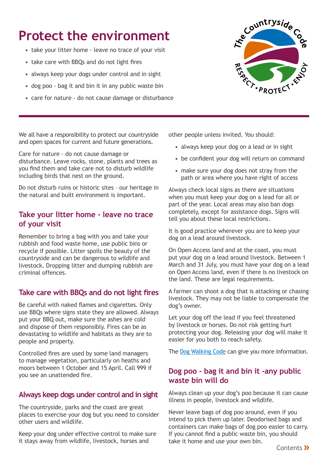### <span id="page-2-0"></span>**Protect the environment**

- take your litter home leave no trace of your visit
- take care with BBQs and do not light fires
- always keep your dogs under control and in sight
- dog poo bag it and bin it in any public waste bin
- care for nature do not cause damage or disturbance



We all have a responsibility to protect our countryside and open spaces for current and future generations.

Care for nature - do not cause damage or disturbance. Leave rocks, stone, plants and trees as you find them and take care not to disturb wildlife including birds that nest on the ground.

Do not disturb ruins or historic sites – our heritage in the natural and built environment is important.

#### **Take your litter home - leave no trace of your visit**

Remember to bring a bag with you and take your rubbish and food waste home, use public bins or recycle if possible. Litter spoils the beauty of the countryside and can be dangerous to wildlife and livestock. Dropping litter and dumping rubbish are criminal offences.

#### **Take care with BBQs and do not light fires**

Be careful with naked flames and cigarettes. Only use BBQs where signs state they are allowed. Always put your BBQ out, make sure the ashes are cold and dispose of them responsibly. Fires can be as devastating to wildlife and habitats as they are to people and property.

Controlled fires are used by some land managers to manage vegetation, particularly on heaths and moors between 1 October and 15 April. Call 999 if you see an unattended fire.

#### **Always keep dogs under control and in sight**

The countryside, parks and the coast are great places to exercise your dog but you need to consider other users and wildlife.

Keep your dog under effective control to make sure it stays away from wildlife, livestock, horses and

other people unless invited. You should:

- always keep your dog on a lead or in sight
- be confident your dog will return on command
- make sure your dog does not stray from the path or area where you have right of access

Always check local signs as there are situations when you must keep your dog on a lead for all or part of the year. Local areas may also ban dogs completely, except for assistance dogs. Signs will tell you about these local restrictions.

It is good practice wherever you are to keep your dog on a lead around livestock.

On Open Access land and at the coast, you must put your dog on a lead around livestock. Between 1 March and 31 July, you must have your dog on a lead on Open Access land, even if there is no livestock on the land. These are legal requirements.

A farmer can shoot a dog that is attacking or chasing livestock. They may not be liable to compensate the dog's owner.

Let your dog off the lead if you feel threatened by livestock or horses. Do not risk getting hurt protecting your dog. Releasing your dog will make it easier for you both to reach safety.

The [Dog Walking Code](www.dogwalkingcode.org.uk) can give you more information.

#### **Dog poo - bag it and bin it -any public waste bin will do**

Always clean up your dog's poo because it can cause illness in people, livestock and wildlife.

Never leave bags of dog poo around, even if you intend to pick them up later. Deodorised bags and containers can make bags of dog poo easier to carry. If you cannot find a public waste bin, you should take it home and use your own bin.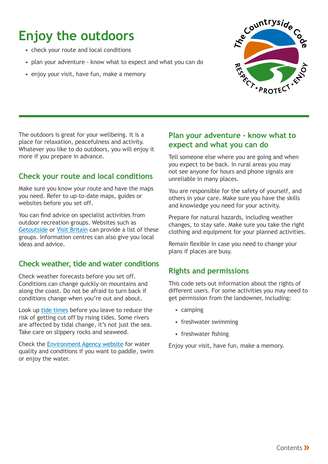## **Enjoy the outdoors**

- check your route and local conditions
- plan your adventure know what to expect and what you can do
- enjoy your visit, have fun, make a memory



The outdoors is great for your wellbeing. It is a place for relaxation, peacefulness and activity. Whatever you like to do outdoors, you will enjoy it more if you prepare in advance.

#### **Check your route and local conditions**

Make sure you know your route and have the maps you need. Refer to up-to-date maps, guides or websites before you set off.

You can find advice on specialist activities from outdoor recreation groups. Websites such as [Getoutside](https://getoutside.ordnancesurvey.co.uk/) or [Visit Britain](https://www.visitbritain.com/gb/en/things-do) can provide a list of these groups. Information centres can also give you local ideas and advice.

#### **Check weather, tide and water conditions**

Check weather forecasts before you set off. Conditions can change quickly on mountains and along the coast. Do not be afraid to turn back if conditions change when you're out and about.

Look up tide [times](https://www.tidetimes.org.uk/) before you leave to reduce the risk of getting cut off by rising tides. Some rivers are affected by tidal change, it's not just the sea. Take care on slippery rocks and seaweed.

Check the [Environment](https://environment.data.gov.uk/bwq/profiles/) Agency website for water quality and conditions if you want to paddle, swim or enjoy the water.

#### **Plan your adventure - know what to expect and what you can do**

Tell someone else where you are going and when you expect to be back. In rural areas you may not see anyone for hours and phone signals are unreliable in many places.

You are responsible for the safety of yourself, and others in your care. Make sure you have the skills and knowledge you need for your activity.

Prepare for natural hazards, including weather changes, to stay safe. Make sure you take the right clothing and equipment for your planned activities.

Remain flexible in case you need to change your plans if places are busy.

#### **Rights and permissions**

This code sets out information about the rights of different users. For some activities you may need to get permission from the landowner, including:

- camping
- freshwater swimming
- freshwater fishing

Enjoy your visit, have fun, make a memory.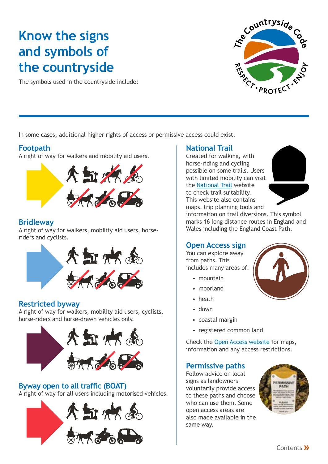### <span id="page-4-0"></span>**Know the signs and symbols of the countryside**

The symbols used in the countryside include:



In some cases, additional higher rights of access or permissive access could exist.

#### **Footpath**

A right of way for walkers and mobility aid users.



#### **Bridleway**

A right of way for walkers, mobility aid users, horseriders and cyclists.



#### **Restricted byway**

A right of way for walkers, mobility aid users, cyclists, horse-riders and horse-drawn vehicles only.



### **Byway open to all traffic (BOAT)**

A right of way for all users including motorised vehicles.



#### **National Trail**

Created for walking, with horse-riding and cycling possible on some trails. Users with limited mobility can visit the [National](www.nationaltrail.co.uk/) Trail website to check trail suitability. This website also contains maps, trip planning tools and



information on trail diversions. This symbol marks 16 long distance routes in England and Wales including the England Coast Path.

#### **Open Access sign**

You can explore away from paths. This includes many areas of:

- $\bullet$  mountain
- moorland
- heath
- down
- coastal margin
- registered common land

Check the Open Access [website](www.openaccess.naturalengland.org.uk/) for maps, information and any access restrictions.

#### **Permissive paths**

Follow advice on local signs as landowners voluntarily provide access to these paths and choose who can use them. Some open access areas are also made available in the same way.